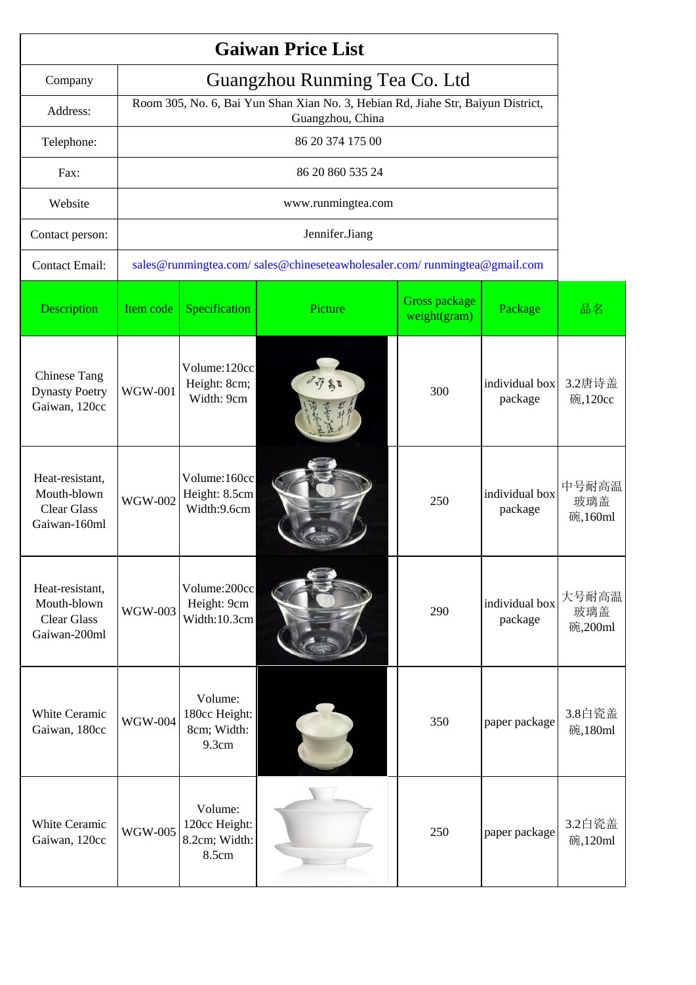|                                                                      |                               |                                                                                                      | <b>Gaiwan Price List</b>                                                 |                               |                           |                         |  |  |
|----------------------------------------------------------------------|-------------------------------|------------------------------------------------------------------------------------------------------|--------------------------------------------------------------------------|-------------------------------|---------------------------|-------------------------|--|--|
| Company                                                              | Guangzhou Runming Tea Co. Ltd |                                                                                                      |                                                                          |                               |                           |                         |  |  |
| Address:                                                             |                               | Room 305, No. 6, Bai Yun Shan Xian No. 3, Hebian Rd, Jiahe Str, Baiyun District,<br>Guangzhou, China |                                                                          |                               |                           |                         |  |  |
| Telephone:                                                           |                               |                                                                                                      | 86 20 374 175 00                                                         |                               |                           |                         |  |  |
| Fax:                                                                 |                               |                                                                                                      | 86 20 860 535 24                                                         |                               |                           |                         |  |  |
| Website                                                              |                               |                                                                                                      | www.runmingtea.com                                                       |                               |                           |                         |  |  |
| Contact person:                                                      |                               |                                                                                                      | Jennifer.Jiang                                                           |                               |                           |                         |  |  |
| <b>Contact Email:</b>                                                |                               |                                                                                                      | sales@runmingtea.com/sales@chineseteawholesaler.com/runmingtea@gmail.com |                               |                           |                         |  |  |
| Description                                                          | Item code                     | Specification                                                                                        | Picture                                                                  | Gross package<br>weight(gram) | Package                   | 品名                      |  |  |
| <b>Chinese Tang</b><br><b>Dynasty Poetry</b><br>Gaiwan, 120cc        | <b>WGW-001</b>                | Volume:120cc<br>Height: 8cm;<br>Width: 9cm                                                           | 环部                                                                       | 300                           | individual box<br>package | 3.2唐诗盖<br>碗,120cc       |  |  |
| Heat-resistant,<br>Mouth-blown<br><b>Clear Glass</b><br>Gaiwan-160ml | <b>WGW-002</b>                | Volume:160cc<br>Height: 8.5cm<br>Width:9.6cm                                                         |                                                                          | 250                           | individual box<br>package | 中号耐高温<br>玻璃盖<br>碗,160ml |  |  |
| Heat-resistant,<br>Mouth-blown<br><b>Clear Glass</b><br>Gaiwan-200ml | <b>WGW-003</b>                | Volume:200cc<br>Height: 9cm<br>Width:10.3cm                                                          |                                                                          | 290                           | individual box<br>package | 大号耐高温<br>玻璃盖<br>碗,200ml |  |  |
| White Ceramic<br>Gaiwan, 180cc                                       | <b>WGW-004</b>                | Volume:<br>180cc Height:<br>8cm; Width:<br>9.3cm                                                     |                                                                          | 350                           | paper package             | 3.8白瓷盖<br>碗,180ml       |  |  |
| White Ceramic<br>Gaiwan, 120cc                                       | <b>WGW-005</b>                | Volume:<br>120cc Height:<br>8.2cm; Width:<br>8.5cm                                                   |                                                                          | 250                           | paper package             | 3.2白瓷盖<br>碗,120ml       |  |  |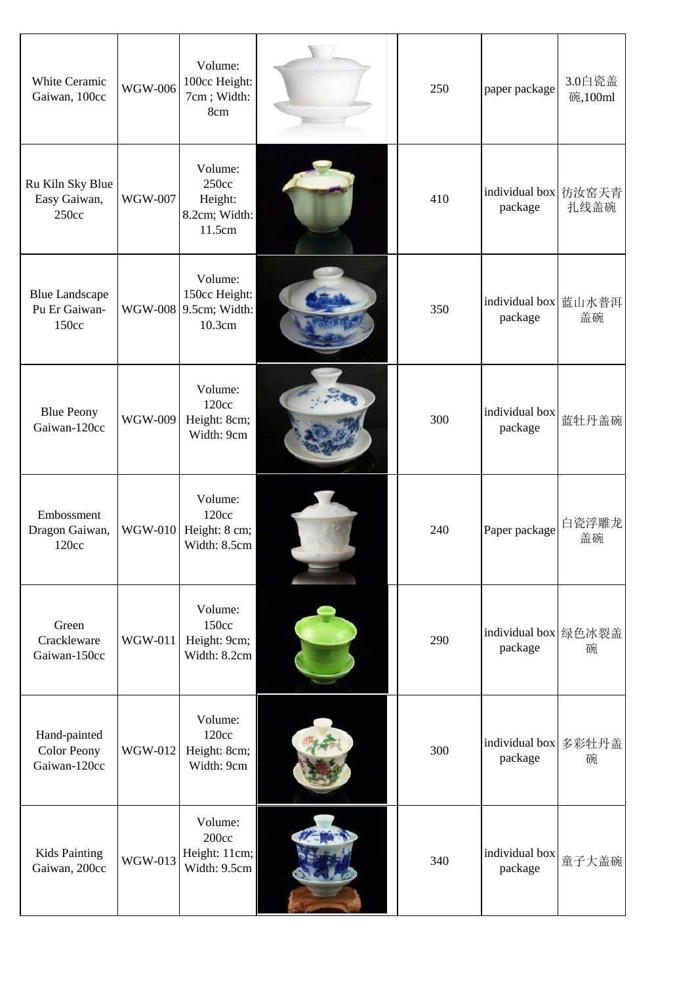| White Ceramic<br>Gaiwan, 100cc                     | WGW-006        | Volume:<br>100cc Height:<br>7cm; Width:<br>8cm              | 250 | paper package                     | 3.0白瓷盖<br>碗,100ml |
|----------------------------------------------------|----------------|-------------------------------------------------------------|-----|-----------------------------------|-------------------|
| Ru Kiln Sky Blue<br>Easy Gaiwan,<br>250cc          | <b>WGW-007</b> | Volume:<br>250cc<br>Height:<br>8.2cm; Width:<br>11.5cm      | 410 | individual box 彷汝窑天青<br>package   | 扎线盖碗              |
| <b>Blue Landscape</b><br>Pu Er Gaiwan-<br>150cc    |                | Volume:<br>150cc Height:<br>WGW-008 9.5cm; Width:<br>10.3cm | 350 | individual box 蓝山水普洱<br>package   | 盖碗                |
| <b>Blue Peony</b><br>Gaiwan-120cc                  | WGW-009        | Volume:<br>120cc<br>Height: 8cm;<br>Width: 9cm              | 300 | individual box<br>package         | 蓝牡丹盖碗             |
| Embossment<br>Dragon Gaiwan,<br>120cc              | <b>WGW-010</b> | Volume:<br>120cc<br>Height: 8 cm;<br>Width: 8.5cm           | 240 | Paper package                     | 白瓷浮雕龙<br>盖碗       |
| Green<br>Crackleware<br>Gaiwan-150cc               | WGW-011        | Volume:<br>150cc<br>Height: 9cm;<br>Width: 8.2cm            | 290 | individual box   绿色冰裂盖<br>package | 碗                 |
| Hand-painted<br><b>Color Peony</b><br>Gaiwan-120cc | WGW-012        | Volume:<br>120cc<br>Height: 8cm;<br>Width: 9cm              | 300 | individual box<br>package         | 多彩牡丹盖<br>碗        |
| <b>Kids Painting</b><br>Gaiwan, 200cc              | <b>WGW-013</b> | Volume:<br>200cc<br>Height: 11cm;<br>Width: 9.5cm           | 340 | individual box<br>package         | 童子大盖碗             |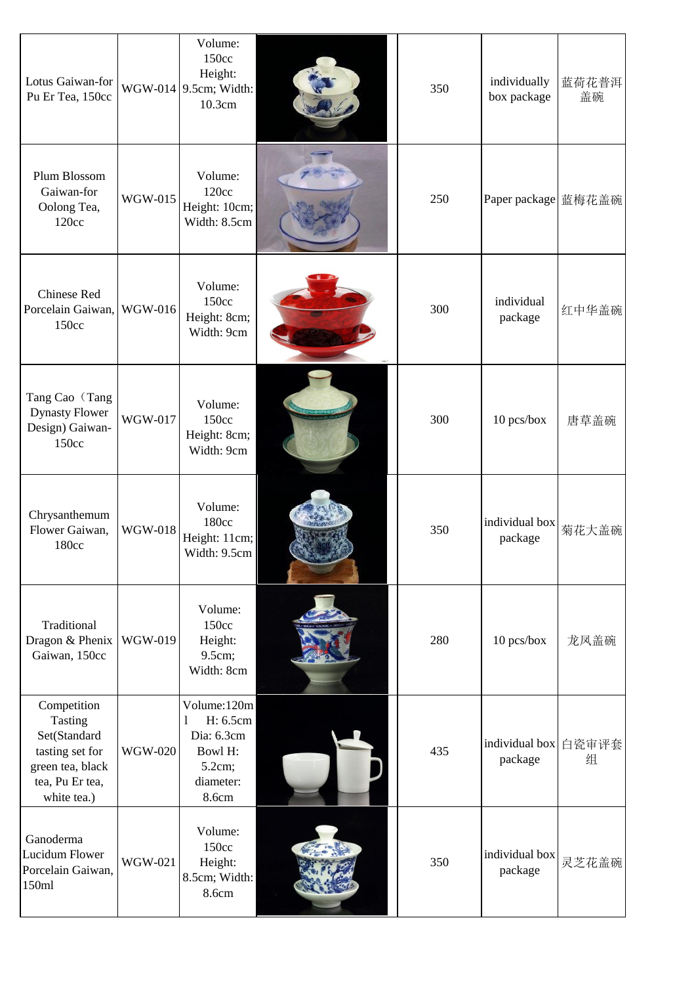| Lotus Gaiwan-for<br>Pu Er Tea, 150cc                                                                            |                | Volume:<br>150cc<br>Height:<br>WGW-014 9.5cm; Width:<br>10.3cm                        | 350 | individually<br>box package | 蓝荷花普洱<br>盖碗 |
|-----------------------------------------------------------------------------------------------------------------|----------------|---------------------------------------------------------------------------------------|-----|-----------------------------|-------------|
| Plum Blossom<br>Gaiwan-for<br>Oolong Tea,<br>120cc                                                              | <b>WGW-015</b> | Volume:<br>120cc<br>Height: 10cm;<br>Width: 8.5cm                                     | 250 | Paper package 蓝梅花盖碗         |             |
| Chinese Red<br>Porcelain Gaiwan,<br>150cc                                                                       | WGW-016        | Volume:<br>150cc<br>Height: 8cm;<br>Width: 9cm                                        | 300 | individual<br>package       | 红中华盖碗       |
| Tang Cao (Tang<br><b>Dynasty Flower</b><br>Design) Gaiwan-<br>150cc                                             | WGW-017        | Volume:<br>150cc<br>Height: 8cm;<br>Width: 9cm                                        | 300 | 10 pcs/box                  | 唐草盖碗        |
| Chrysanthemum<br>Flower Gaiwan,<br>180cc                                                                        | <b>WGW-018</b> | Volume:<br>180cc<br>Height: 11cm;<br>Width: 9.5cm                                     | 350 | individual box<br>package   | 菊花大盖碗       |
| Traditional<br>Dragon & Phenix<br>Gaiwan, 150cc                                                                 | WGW-019        | Volume:<br>150cc<br>Height:<br>9.5cm;<br>Width: 8cm                                   | 280 | 10 pcs/box                  | 龙凤盖碗        |
| Competition<br>Tasting<br>Set(Standard<br>tasting set for<br>green tea, black<br>tea, Pu Er tea,<br>white tea.) | <b>WGW-020</b> | Volume:120m<br>H: 6.5cm<br>1<br>Dia: 6.3cm<br>Bowl H:<br>5.2cm;<br>diameter:<br>8.6cm | 435 | individual box<br>package   | 白瓷审评套<br>组  |
| Ganoderma<br>Lucidum Flower<br>Porcelain Gaiwan,<br>150ml                                                       | <b>WGW-021</b> | Volume:<br>150cc<br>Height:<br>8.5cm; Width:<br>8.6cm                                 | 350 | individual box<br>package   | 灵芝花盖碗       |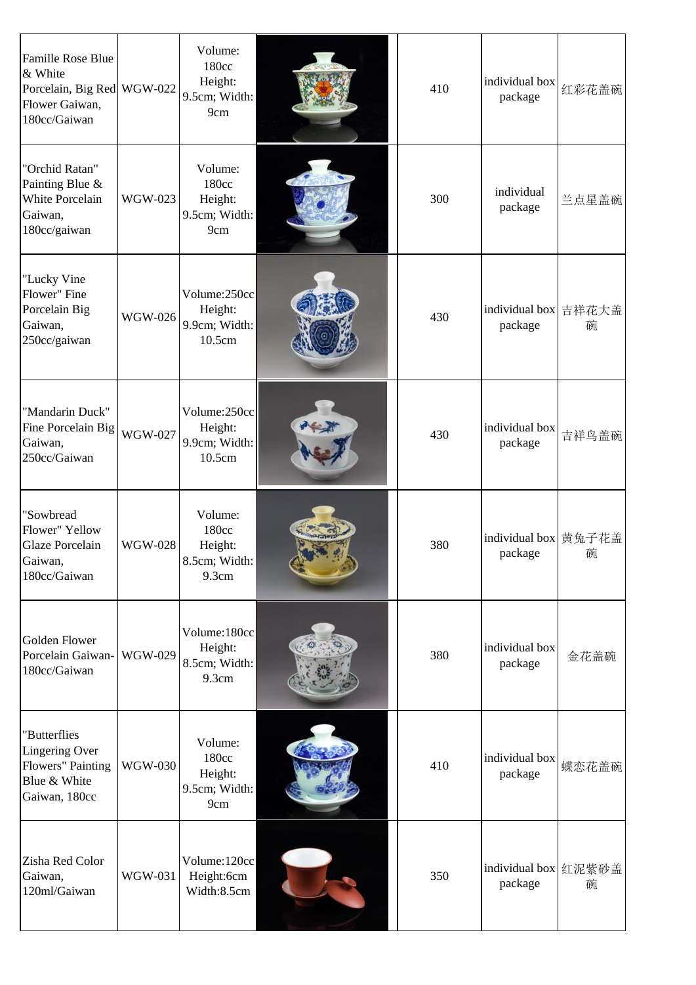| <b>Famille Rose Blue</b><br>& White<br>Porcelain, Big Red WGW-022<br>Flower Gaiwan,<br>180cc/Gaiwan |                | Volume:<br>180cc<br>Height:<br>9.5cm; Width:<br>9cm   | 410 | individual box<br>package       | 红彩花盖碗      |
|-----------------------------------------------------------------------------------------------------|----------------|-------------------------------------------------------|-----|---------------------------------|------------|
| "Orchid Ratan"<br>Painting Blue &<br><b>White Porcelain</b><br>Gaiwan,<br>180cc/gaiwan              | WGW-023        | Volume:<br>180cc<br>Height:<br>9.5cm; Width:<br>9cm   | 300 | individual<br>package           | 兰点星盖碗      |
| "Lucky Vine<br>Flower" Fine<br>Porcelain Big<br>Gaiwan,<br>250cc/gaiwan                             | WGW-026        | Volume:250cc<br>Height:<br>9.9cm; Width:<br>10.5cm    | 430 | individual box<br>package       | 吉祥花大盖<br>碗 |
| "Mandarin Duck"<br>Fine Porcelain Big<br>Gaiwan,<br>250cc/Gaiwan                                    | <b>WGW-027</b> | Volume:250cc<br>Height:<br>9.9cm; Width:<br>10.5cm    | 430 | individual box<br>package       | 吉祥鸟盖碗      |
| "Sowbread<br>Flower" Yellow<br>Glaze Porcelain<br>Gaiwan,<br>180cc/Gaiwan                           | <b>WGW-028</b> | Volume:<br>180cc<br>Height:<br>8.5cm; Width:<br>9.3cm | 380 | individual box 黄兔子花盖<br>package | 碗          |
| <b>Golden Flower</b><br>Porcelain Gaiwan-<br>180cc/Gaiwan                                           | <b>WGW-029</b> | Volume:180cc<br>Height:<br>8.5cm; Width:<br>9.3cm     | 380 | individual box<br>package       | 金花盖碗       |
| "Butterflies<br><b>Lingering Over</b><br>Flowers" Painting<br>Blue & White<br>Gaiwan, 180cc         | <b>WGW-030</b> | Volume:<br>180cc<br>Height:<br>9.5cm; Width:<br>9cm   | 410 | individual box<br>package       | 蝶恋花盖碗      |
| Zisha Red Color<br>Gaiwan,<br>120ml/Gaiwan                                                          | <b>WGW-031</b> | Volume:120cc<br>Height:6cm<br>Width:8.5cm             | 350 | individual box 红泥紫砂盖<br>package | 碗          |